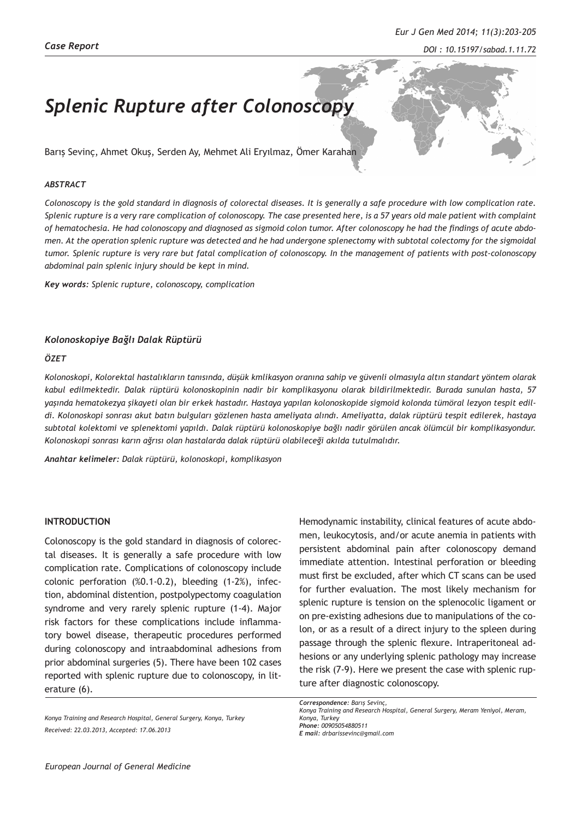*DOI : 10.15197/sabad.1.11.72*

# *Splenic Rupture after Colonoscopy*

Barış Sevinç, Ahmet Okuş, Serden Ay, Mehmet Ali Eryılmaz, Ömer Karahan

## *ABSTRACT*

*Colonoscopy is the gold standard in diagnosis of colorectal diseases. It is generally a safe procedure with low complication rate. Splenic rupture is a very rare complication of colonoscopy. The case presented here, is a 57 years old male patient with complaint of hematochesia. He had colonoscopy and diagnosed as sigmoid colon tumor. After colonoscopy he had the findings of acute abdomen. At the operation splenic rupture was detected and he had undergone splenectomy with subtotal colectomy for the sigmoidal tumor. Splenic rupture is very rare but fatal complication of colonoscopy. In the management of patients with post-colonoscopy abdominal pain splenic injury should be kept in mind.*

*Key words: Splenic rupture, colonoscopy, complication*

### *Kolonoskopiye Bağlı Dalak Rüptürü*

## *ÖZET*

*Kolonoskopi, Kolorektal hastalıkların tanısında, düşük kmlikasyon oranına sahip ve güvenli olmasıyla altın standart yöntem olarak kabul edilmektedir. Dalak rüptürü kolonoskopinin nadir bir komplikasyonu olarak bildirilmektedir. Burada sunulan hasta, 57 yaşında hematokezya şikayeti olan bir erkek hastadır. Hastaya yapılan kolonoskopide sigmoid kolonda tümöral lezyon tespit edildi. Kolonoskopi sonrası akut batın bulguları gözlenen hasta ameliyata alındı. Ameliyatta, dalak rüptürü tespit edilerek, hastaya subtotal kolektomi ve splenektomi yapıldı. Dalak rüptürü kolonoskopiye bağlı nadir görülen ancak ölümcül bir komplikasyondur. Kolonoskopi sonrası karın ağrısı olan hastalarda dalak rüptürü olabileceği akılda tutulmalıdır.*

*Anahtar kelimeler: Dalak rüptürü, kolonoskopi, komplikasyon*

## **INTRODUCTION**

Colonoscopy is the gold standard in diagnosis of colorectal diseases. It is generally a safe procedure with low complication rate. Complications of colonoscopy include colonic perforation (%0.1-0.2), bleeding (1-2%), infection, abdominal distention, postpolypectomy coagulation syndrome and very rarely splenic rupture (1-4). Major risk factors for these complications include inflammatory bowel disease, therapeutic procedures performed during colonoscopy and intraabdominal adhesions from prior abdominal surgeries (5). There have been 102 cases reported with splenic rupture due to colonoscopy, in literature (6).

*Konya Training and Research Hospital, General Surgery, Konya, Turkey Received: 22.03.2013, Accepted: 17.06.2013*

Hemodynamic instability, clinical features of acute abdomen, leukocytosis, and/or acute anemia in patients with persistent abdominal pain after colonoscopy demand immediate attention. Intestinal perforation or bleeding must first be excluded, after which CT scans can be used for further evaluation. The most likely mechanism for splenic rupture is tension on the splenocolic ligament or on pre-existing adhesions due to manipulations of the colon, or as a result of a direct injury to the spleen during passage through the splenic flexure. Intraperitoneal adhesions or any underlying splenic pathology may increase the risk (7-9). Here we present the case with splenic rupture after diagnostic colonoscopy.

*Correspondence: Barış Sevinç, Konya Training and Research Hospital, General Surgery, Meram Yeniyol, Meram, Konya, Turkey Phone: 00905054880511* 

*E mail: drbarissevinc@gmail.com*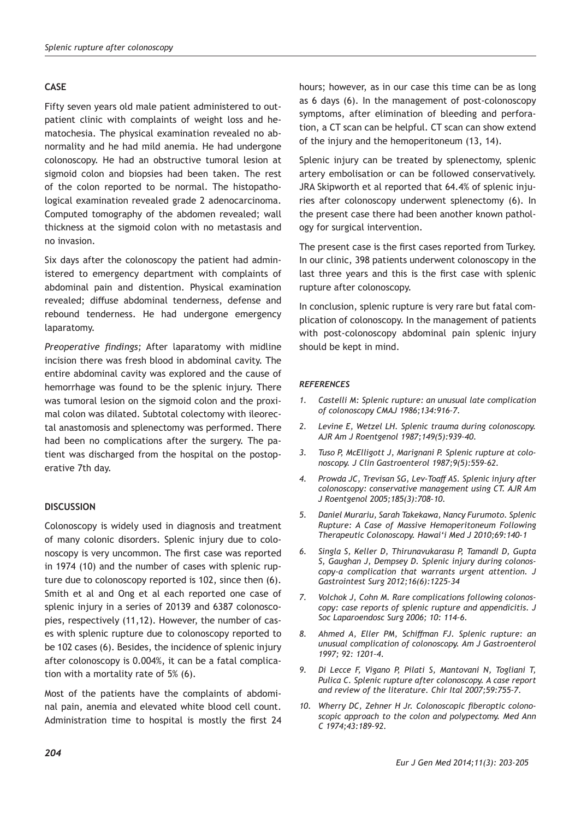# **CASE**

Fifty seven years old male patient administered to outpatient clinic with complaints of weight loss and hematochesia. The physical examination revealed no abnormality and he had mild anemia. He had undergone colonoscopy. He had an obstructive tumoral lesion at sigmoid colon and biopsies had been taken. The rest of the colon reported to be normal. The histopathological examination revealed grade 2 adenocarcinoma. Computed tomography of the abdomen revealed; wall thickness at the sigmoid colon with no metastasis and no invasion.

Six days after the colonoscopy the patient had administered to emergency department with complaints of abdominal pain and distention. Physical examination revealed; diffuse abdominal tenderness, defense and rebound tenderness. He had undergone emergency laparatomy.

*Preoperative findings;* After laparatomy with midline incision there was fresh blood in abdominal cavity. The entire abdominal cavity was explored and the cause of hemorrhage was found to be the splenic injury. There was tumoral lesion on the sigmoid colon and the proximal colon was dilated. Subtotal colectomy with ileorectal anastomosis and splenectomy was performed. There had been no complications after the surgery. The patient was discharged from the hospital on the postoperative 7th day.

#### **DISCUSSION**

Colonoscopy is widely used in diagnosis and treatment of many colonic disorders. Splenic injury due to colonoscopy is very uncommon. The first case was reported in 1974 (10) and the number of cases with splenic rupture due to colonoscopy reported is 102, since then (6). Smith et al and Ong et al each reported one case of splenic injury in a series of 20139 and 6387 colonoscopies, respectively (11,12). However, the number of cases with splenic rupture due to colonoscopy reported to be 102 cases (6). Besides, the incidence of splenic injury after colonoscopy is 0.004%, it can be a fatal complication with a mortality rate of 5% (6).

Most of the patients have the complaints of abdominal pain, anemia and elevated white blood cell count. Administration time to hospital is mostly the first 24

hours; however, as in our case this time can be as long as 6 days (6). In the management of post-colonoscopy symptoms, after elimination of bleeding and perforation, a CT scan can be helpful. CT scan can show extend of the injury and the hemoperitoneum (13, 14).

Splenic injury can be treated by splenectomy, splenic artery embolisation or can be followed conservatively. JRA Skipworth et al reported that 64.4% of splenic injuries after colonoscopy underwent splenectomy (6). In the present case there had been another known pathology for surgical intervention.

The present case is the first cases reported from Turkey. In our clinic, 398 patients underwent colonoscopy in the last three years and this is the first case with splenic rupture after colonoscopy.

In conclusion, splenic rupture is very rare but fatal complication of colonoscopy. In the management of patients with post-colonoscopy abdominal pain splenic injury should be kept in mind.

#### *REFERENCES*

- *1. Castelli M: Splenic rupture: an unusual late complication of colonoscopy CMAJ 1986;134:916–7.*
- *2. Levine E, Wetzel LH. Splenic trauma during colonoscopy. AJR Am J Roentgenol 1987;149(5):939–40.*
- *3. Tuso P, McElligott J, Marignani P. Splenic rupture at colonoscopy. J Clin Gastroenterol 1987;9(5):559–62.*
- *4. Prowda JC, Trevisan SG, Lev-Toaff AS. Splenic injury after colonoscopy: conservative management using CT. AJR Am J Roentgenol 2005;185(3):708–10.*
- *5. Daniel Murariu, Sarah Takekawa, Nancy Furumoto. Splenic Rupture: A Case of Massive Hemoperitoneum Following Therapeutic Colonoscopy. Hawai'i Med J 2010;69:140-1*
- *6. Singla S, Keller D, Thirunavukarasu P, Tamandl D, Gupta S, Gaughan J, Dempsey D. Splenic injury during colonoscopy-a complication that warrants urgent attention. J Gastrointest Surg 2012;16(6):1225-34*
- *7. Volchok J, Cohn M. Rare complications following colonoscopy: case reports of splenic rupture and appendicitis. J Soc Laparoendosc Surg 2006; 10: 114–6.*
- *8. Ahmed A, Eller PM, Schiffman FJ. Splenic rupture: an unusual complication of colonoscopy. Am J Gastroenterol 1997; 92: 1201–4.*
- *9. Di Lecce F, Vigano P, Pilati S, Mantovani N, Togliani T, Pulica C. Splenic rupture after colonoscopy. A case report and review of the literature. Chir Ital 2007;59:755–7.*
- *10. Wherry DC, Zehner H Jr. Colonoscopic fiberoptic colonoscopic approach to the colon and polypectomy. Med Ann C 1974;43:189–92.*